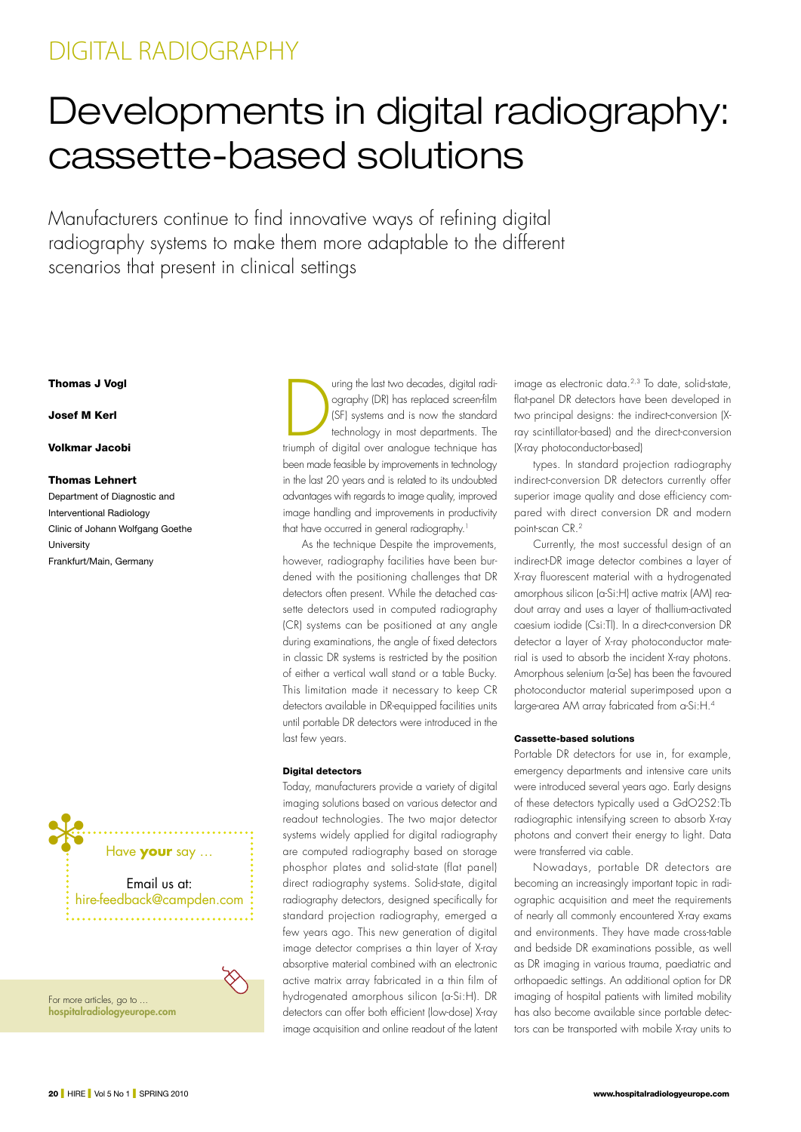## DIGITAL RADIOGRAPHY

# Developments in digital radiography: cassette-based solutions

Manufacturers continue to find innovative ways of refining digital radiography systems to make them more adaptable to the different scenarios that present in clinical settings

## Thomas J Vogl

#### Josef M Kerl

#### Volkmar Jacobi

#### Thomas Lehnert

Department of Diagnostic and Interventional Radiology Clinic of Johann Wolfgang Goethe **University** Frankfurt/Main, Germany



For more articles, go to ... hospitalradiologyeurope.com

Uring the last two decades, digital radi-<br>
Ography (DR) has replaced screen-film<br>
(SF) systems and is now the standard<br>
technology in most departments. The<br>
triumph of digital over analogue technique has ography (DR) has replaced screen-film (SF) systems and is now the standard technology in most departments. The been made feasible by improvements in technology in the last 20 years and is related to its undoubted advantages with regards to image quality, improved image handling and improvements in productivity that have occurred in general radiography.<sup>1</sup>

As the technique Despite the improvements, however, radiography facilities have been burdened with the positioning challenges that DR detectors often present. While the detached cassette detectors used in computed radiography (CR) systems can be positioned at any angle during examinations, the angle of fixed detectors in classic DR systems is restricted by the position of either a vertical wall stand or a table Bucky. This limitation made it necessary to keep CR detectors available in DR-equipped facilities units until portable DR detectors were introduced in the last few years.

#### Digital detectors

Today, manufacturers provide a variety of digital imaging solutions based on various detector and readout technologies. The two major detector systems widely applied for digital radiography are computed radiography based on storage phosphor plates and solid-state (flat panel) direct radiography systems. Solid-state, digital radiography detectors, designed specifically for standard projection radiography, emerged a few years ago. This new generation of digital image detector comprises a thin layer of X-ray absorptive material combined with an electronic active matrix array fabricated in a thin film of hydrogenated amorphous silicon (a-Si:H). DR detectors can offer both efficient (low-dose) X-ray image acquisition and online readout of the latent

image as electronic data.2,3 To date, solid-state, flat-panel DR detectors have been developed in two principal designs: the indirect-conversion (Xray scintillator-based) and the direct-conversion (X-ray photoconductor-based)

types. In standard projection radiography indirect-conversion DR detectors currently offer superior image quality and dose efficiency compared with direct conversion DR and modern point-scan CR.2

Currently, the most successful design of an indirect-DR image detector combines a layer of X-ray fluorescent material with a hydrogenated amorphous silicon (a-Si:H) active matrix (AM) readout array and uses a layer of thallium-activated caesium iodide (Csi:Tl). In a direct-conversion DR detector a layer of X-ray photoconductor material is used to absorb the incident X-ray photons. Amorphous selenium (a-Se) has been the favoured photoconductor material superimposed upon a large-area AM array fabricated from a-Si:H.4

#### Cassette-based solutions

Portable DR detectors for use in, for example, emergency departments and intensive care units were introduced several years ago. Early designs of these detectors typically used a GdO2S2:Tb radiographic intensifying screen to absorb X-ray photons and convert their energy to light. Data were transferred via cable.

Nowadays, portable DR detectors are becoming an increasingly important topic in radiographic acquisition and meet the requirements of nearly all commonly encountered X-ray exams and environments. They have made cross-table and bedside DR examinations possible, as well as DR imaging in various trauma, paediatric and orthopaedic settings. An additional option for DR imaging of hospital patients with limited mobility has also become available since portable detectors can be transported with mobile X-ray units to